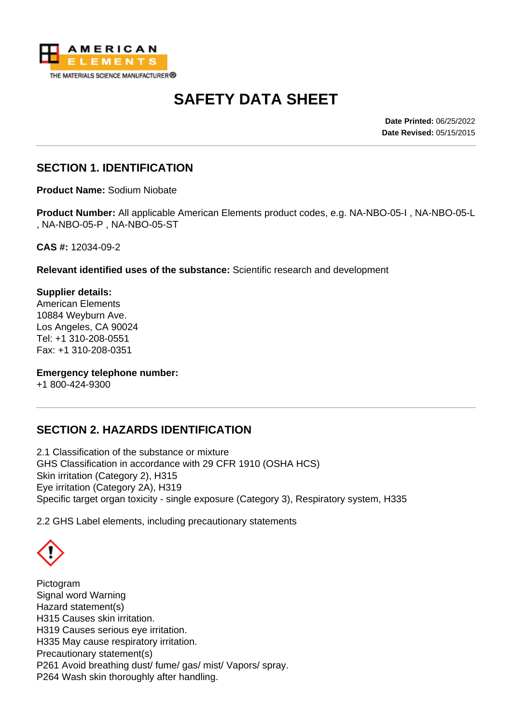

# **SAFETY DATA SHEET**

**Date Printed:** 06/25/2022 **Date Revised:** 05/15/2015

## **SECTION 1. IDENTIFICATION**

**Product Name:** Sodium Niobate

**Product Number:** All applicable American Elements product codes, e.g. NA-NBO-05-I , NA-NBO-05-L , NA-NBO-05-P , NA-NBO-05-ST

**CAS #:** 12034-09-2

**Relevant identified uses of the substance:** Scientific research and development

**Supplier details:** American Elements 10884 Weyburn Ave. Los Angeles, CA 90024 Tel: +1 310-208-0551 Fax: +1 310-208-0351

**Emergency telephone number:**

+1 800-424-9300

### **SECTION 2. HAZARDS IDENTIFICATION**

2.1 Classification of the substance or mixture GHS Classification in accordance with 29 CFR 1910 (OSHA HCS) Skin irritation (Category 2), H315 Eye irritation (Category 2A), H319 Specific target organ toxicity - single exposure (Category 3), Respiratory system, H335

2.2 GHS Label elements, including precautionary statements

Pictogram Signal word Warning Hazard statement(s) H315 Causes skin irritation. H319 Causes serious eye irritation. H335 May cause respiratory irritation. Precautionary statement(s) P261 Avoid breathing dust/ fume/ gas/ mist/ Vapors/ spray. P264 Wash skin thoroughly after handling.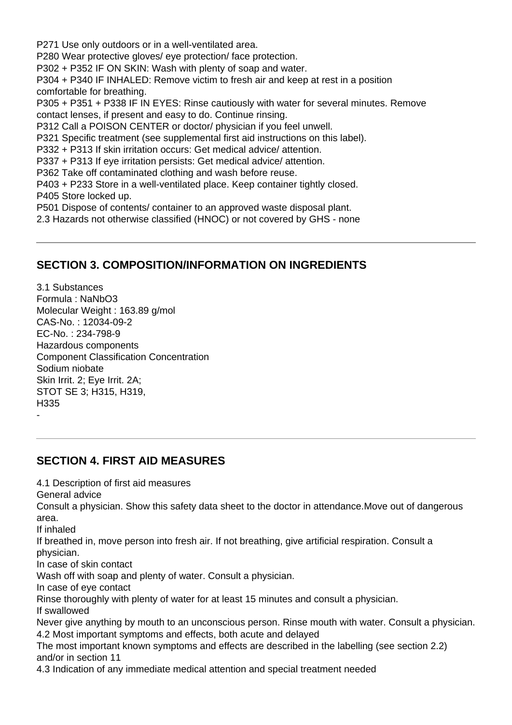P271 Use only outdoors or in a well-ventilated area.

P280 Wear protective gloves/ eye protection/ face protection.

P302 + P352 IF ON SKIN: Wash with plenty of soap and water.

P304 + P340 IF INHALED: Remove victim to fresh air and keep at rest in a position comfortable for breathing.

P305 + P351 + P338 IF IN EYES: Rinse cautiously with water for several minutes. Remove contact lenses, if present and easy to do. Continue rinsing.

P312 Call a POISON CENTER or doctor/ physician if you feel unwell.

P321 Specific treatment (see supplemental first aid instructions on this label).

P332 + P313 If skin irritation occurs: Get medical advice/ attention.

P337 + P313 If eye irritation persists: Get medical advice/ attention.

P362 Take off contaminated clothing and wash before reuse.

P403 + P233 Store in a well-ventilated place. Keep container tightly closed. P405 Store locked up.

P501 Dispose of contents/ container to an approved waste disposal plant.

2.3 Hazards not otherwise classified (HNOC) or not covered by GHS - none

# **SECTION 3. COMPOSITION/INFORMATION ON INGREDIENTS**

3.1 Substances Formula : NaNbO3 Molecular Weight : 163.89 g/mol CAS-No. : 12034-09-2 EC-No. : 234-798-9 Hazardous components Component Classification Concentration Sodium niobate Skin Irrit. 2; Eye Irrit. 2A; STOT SE 3; H315, H319, H335

### **SECTION 4. FIRST AID MEASURES**

4.1 Description of first aid measures

General advice

Consult a physician. Show this safety data sheet to the doctor in attendance.Move out of dangerous area.

If inhaled

-

If breathed in, move person into fresh air. If not breathing, give artificial respiration. Consult a physician.

In case of skin contact

Wash off with soap and plenty of water. Consult a physician.

In case of eye contact

Rinse thoroughly with plenty of water for at least 15 minutes and consult a physician.

If swallowed

Never give anything by mouth to an unconscious person. Rinse mouth with water. Consult a physician. 4.2 Most important symptoms and effects, both acute and delayed

The most important known symptoms and effects are described in the labelling (see section 2.2) and/or in section 11

4.3 Indication of any immediate medical attention and special treatment needed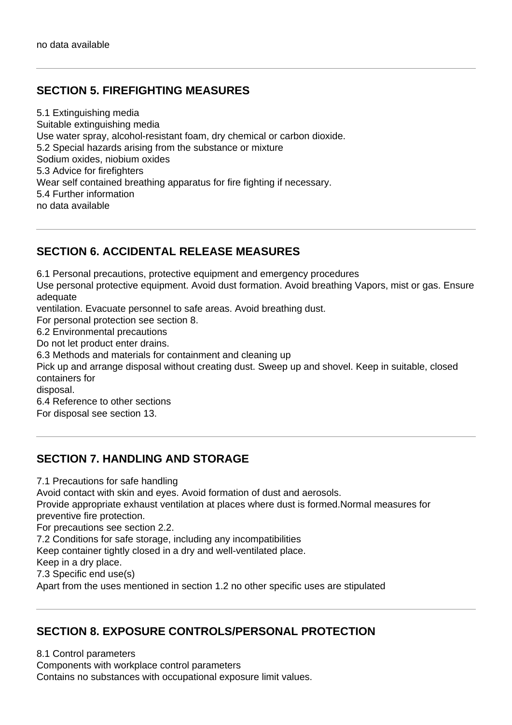## **SECTION 5. FIREFIGHTING MEASURES**

5.1 Extinguishing media Suitable extinguishing media Use water spray, alcohol-resistant foam, dry chemical or carbon dioxide. 5.2 Special hazards arising from the substance or mixture Sodium oxides, niobium oxides 5.3 Advice for firefighters Wear self contained breathing apparatus for fire fighting if necessary. 5.4 Further information no data available

### **SECTION 6. ACCIDENTAL RELEASE MEASURES**

6.1 Personal precautions, protective equipment and emergency procedures Use personal protective equipment. Avoid dust formation. Avoid breathing Vapors, mist or gas. Ensure adequate ventilation. Evacuate personnel to safe areas. Avoid breathing dust. For personal protection see section 8. 6.2 Environmental precautions Do not let product enter drains. 6.3 Methods and materials for containment and cleaning up Pick up and arrange disposal without creating dust. Sweep up and shovel. Keep in suitable, closed containers for disposal. 6.4 Reference to other sections For disposal see section 13.

### **SECTION 7. HANDLING AND STORAGE**

7.1 Precautions for safe handling

Avoid contact with skin and eyes. Avoid formation of dust and aerosols.

Provide appropriate exhaust ventilation at places where dust is formed.Normal measures for preventive fire protection.

For precautions see section 2.2.

7.2 Conditions for safe storage, including any incompatibilities

Keep container tightly closed in a dry and well-ventilated place.

Keep in a dry place.

7.3 Specific end use(s)

Apart from the uses mentioned in section 1.2 no other specific uses are stipulated

#### **SECTION 8. EXPOSURE CONTROLS/PERSONAL PROTECTION**

8.1 Control parameters Components with workplace control parameters Contains no substances with occupational exposure limit values.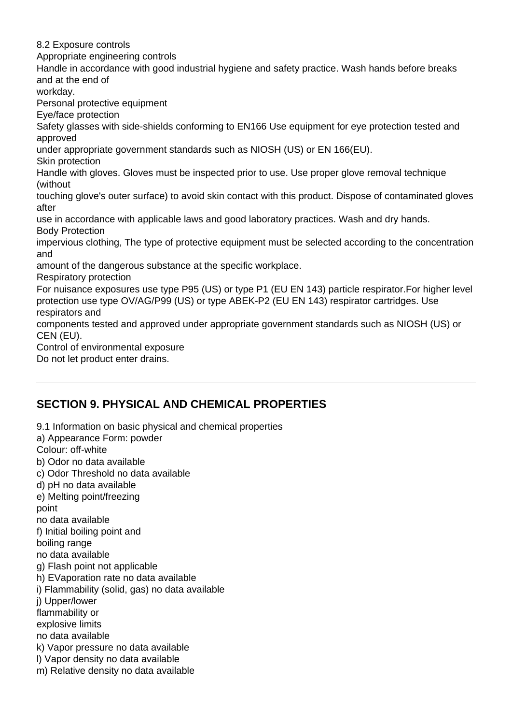8.2 Exposure controls Appropriate engineering controls Handle in accordance with good industrial hygiene and safety practice. Wash hands before breaks and at the end of workday. Personal protective equipment Eye/face protection Safety glasses with side-shields conforming to EN166 Use equipment for eye protection tested and approved under appropriate government standards such as NIOSH (US) or EN 166(EU). Skin protection Handle with gloves. Gloves must be inspected prior to use. Use proper glove removal technique (without touching glove's outer surface) to avoid skin contact with this product. Dispose of contaminated gloves after use in accordance with applicable laws and good laboratory practices. Wash and dry hands. Body Protection impervious clothing, The type of protective equipment must be selected according to the concentration and amount of the dangerous substance at the specific workplace. Respiratory protection For nuisance exposures use type P95 (US) or type P1 (EU EN 143) particle respirator.For higher level protection use type OV/AG/P99 (US) or type ABEK-P2 (EU EN 143) respirator cartridges. Use respirators and components tested and approved under appropriate government standards such as NIOSH (US) or CEN (EU). Control of environmental exposure

Do not let product enter drains.

# **SECTION 9. PHYSICAL AND CHEMICAL PROPERTIES**

9.1 Information on basic physical and chemical properties a) Appearance Form: powder Colour: off-white b) Odor no data available c) Odor Threshold no data available d) pH no data available e) Melting point/freezing point no data available f) Initial boiling point and boiling range no data available g) Flash point not applicable h) EVaporation rate no data available i) Flammability (solid, gas) no data available j) Upper/lower flammability or explosive limits no data available k) Vapor pressure no data available l) Vapor density no data available m) Relative density no data available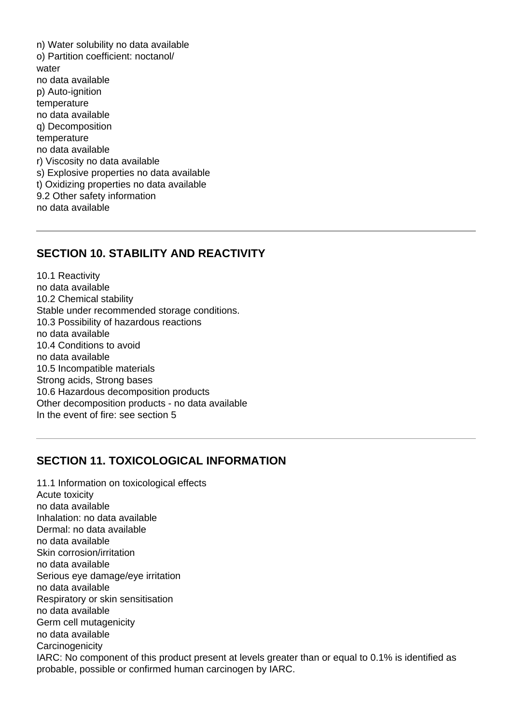n) Water solubility no data available o) Partition coefficient: noctanol/ water no data available p) Auto-ignition temperature no data available q) Decomposition temperature no data available r) Viscosity no data available s) Explosive properties no data available t) Oxidizing properties no data available 9.2 Other safety information no data available

#### **SECTION 10. STABILITY AND REACTIVITY**

10.1 Reactivity no data available 10.2 Chemical stability Stable under recommended storage conditions. 10.3 Possibility of hazardous reactions no data available 10.4 Conditions to avoid no data available 10.5 Incompatible materials Strong acids, Strong bases 10.6 Hazardous decomposition products Other decomposition products - no data available In the event of fire: see section 5

#### **SECTION 11. TOXICOLOGICAL INFORMATION**

11.1 Information on toxicological effects Acute toxicity no data available Inhalation: no data available Dermal: no data available no data available Skin corrosion/irritation no data available Serious eye damage/eye irritation no data available Respiratory or skin sensitisation no data available Germ cell mutagenicity no data available **Carcinogenicity** IARC: No component of this product present at levels greater than or equal to 0.1% is identified as probable, possible or confirmed human carcinogen by IARC.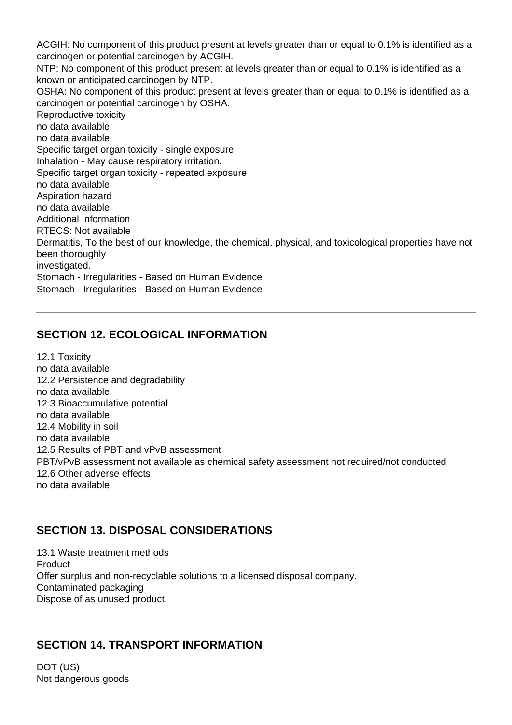ACGIH: No component of this product present at levels greater than or equal to 0.1% is identified as a carcinogen or potential carcinogen by ACGIH. NTP: No component of this product present at levels greater than or equal to 0.1% is identified as a known or anticipated carcinogen by NTP. OSHA: No component of this product present at levels greater than or equal to 0.1% is identified as a carcinogen or potential carcinogen by OSHA. Reproductive toxicity no data available no data available Specific target organ toxicity - single exposure Inhalation - May cause respiratory irritation. Specific target organ toxicity - repeated exposure no data available Aspiration hazard no data available Additional Information RTECS: Not available Dermatitis, To the best of our knowledge, the chemical, physical, and toxicological properties have not been thoroughly investigated. Stomach - Irregularities - Based on Human Evidence Stomach - Irregularities - Based on Human Evidence

## **SECTION 12. ECOLOGICAL INFORMATION**

12.1 Toxicity no data available 12.2 Persistence and degradability no data available 12.3 Bioaccumulative potential no data available 12.4 Mobility in soil no data available 12.5 Results of PBT and vPvB assessment PBT/vPvB assessment not available as chemical safety assessment not required/not conducted 12.6 Other adverse effects no data available

# **SECTION 13. DISPOSAL CONSIDERATIONS**

13.1 Waste treatment methods Product Offer surplus and non-recyclable solutions to a licensed disposal company. Contaminated packaging Dispose of as unused product.

### **SECTION 14. TRANSPORT INFORMATION**

DOT (US) Not dangerous goods